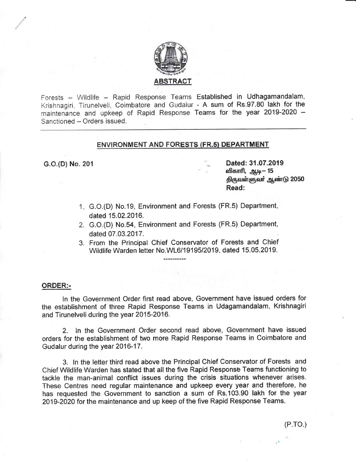

Forests - Wildlife - Rapid Response Teams E<mark>stablished in Udhagamandalam</mark>, Krishnagiri, Tirunelveli, Coimbatore and Gudalur - A sum of Rs.97.80 lakh for the maintenance and upkeep of Rapid Response Teams for the year 2019-2020 -Sanctioned - Orders issued.

## ENVIRONMENT AND FORESTS (FR.5) DEPARTMENT

- c.O.(D) No. 201 **Canadian Contract Dated: 31.07.2019** விகாரி, ஆடி— 15 திருவள்ளுவர் ஆண்டு 2050 Read:
	- 1. G.O.(D) No.19, Environment and Forests (FR.5) Department, dated 15.02.2016.
	- 2. G.O.(D) No.54, Environment and Forests (FR.5) Department, dated 07.03.2017.
	- 3. From the Principal Chief Conservator of Forests and Chief Wildlife Warden letter No.WL6/19195/2019, dated 15.05.2019.

#### ORDER:-

ln the Govennment Order first read above, Governrnent have issued orders for the establishment of three Rapid Response Teams in Udagamandalam, Krishnagiri and Tirunelveli during the year 2015-2016.

2. ln the Governrnent Order second read above, Government have issued orders for the establishment of two more Rapid Response Teams in Coimbatore and Gudalur during the year 2016-17.

3. ln the letter third read above the Principal Chief Conservator of Forests and Chief Wildlife Warden has stated that all the five Rapid Response Teams functioning to tackle the man-animal conflict issues during the crisis situations whenever arises. These Centres need regular maintenance and upkeep every year and therefore, he has requested the Government to sanction a sum of Rs.103.90 lakh for the year 2019-2020 for the maintenance and up keep of the five Rapid Response Teams.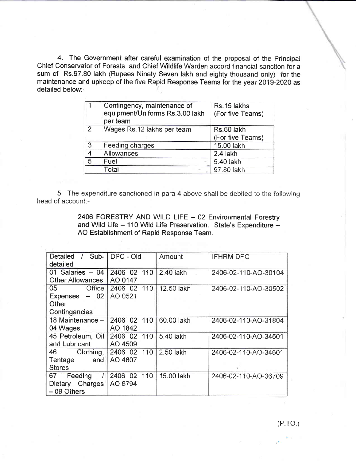4. The Government after careful examination of the proposal of the Principal Chief Conservator of Forests and Chief Wildlife Warden accord financial sanction for a sum of Rs.97.80 lakh (Rupees Ninety Seven lakh and eighty thousand only) for the maintenance and upkeep of the five Rapid Response Teams for the year 2019-2020 as detailed below:-

|                          | Contingency, maintenance of<br>equipment/Uniforms Rs.3.00 lakh<br>per team | Rs.15 lakhs<br>(For five Teams) |
|--------------------------|----------------------------------------------------------------------------|---------------------------------|
| $\overline{2}$           | Wages Rs.12 lakhs per team                                                 | Rs.60 lakh<br>(For five Teams)  |
| 3                        | Feeding charges                                                            | 15.00 lakh                      |
| $\overline{\mathcal{A}}$ | Allowances                                                                 | 2.4 lakh                        |
| 5                        | Fuel                                                                       | 5.40 lakh                       |
|                          | Total                                                                      | 97.80 lakh                      |

5. The expenditure sanctioned in para 4 above shall be debited to the following head of account:-

> 2406 FORESTRY AND WILD LIFE - 02 Environmental Forestry and Wild Life - 110 Wild Life Preservation. State's Expenditure -AO Establishment of Rapid Response Team.

| Sub-<br>Detailed<br>$\prime$<br>detailed | DPC - Old      | Amount     | <b>IFHRM DPC</b>     |
|------------------------------------------|----------------|------------|----------------------|
| 01 Salaries $-04$                        | 2406 02 110    | 2.40 lakh  | 2406-02-110-AO-30104 |
| Other Allowances                         | AO 0147        |            |                      |
| 05 Office                                | 110<br>2406 02 | 12.50 lakh | 2406-02-110-AO-30502 |
| Expenses $-02$                           | AO 0521        |            |                      |
| Other                                    |                |            |                      |
| Contingencies                            |                |            |                      |
| 18 Maintenance -                         | 2406 02 110    | 60.00 lakh | 2406-02-110-AO-31804 |
| 04 Wages                                 | AO 1842        |            |                      |
| 45 Petroleum, Oil                        | 2406 02 110    | 5.40 lakh  | 2406-02-110-AO-34501 |
| and Lubricant                            | AO 4509        |            |                      |
| Clothing,<br>46 —                        | 2406 02 110    | 2.50 lakh  | 2406-02-110-AO-34601 |
| Tentage<br>and                           | AO 4607        |            |                      |
| <b>Stores</b>                            |                |            |                      |
| 67 Feeding                               | 2406 02<br>110 | 15.00 lakh | 2406-02-110-AO-36709 |
| Dietary Charges                          | AO 6794        |            |                      |
| $-09$ Others                             |                |            |                      |